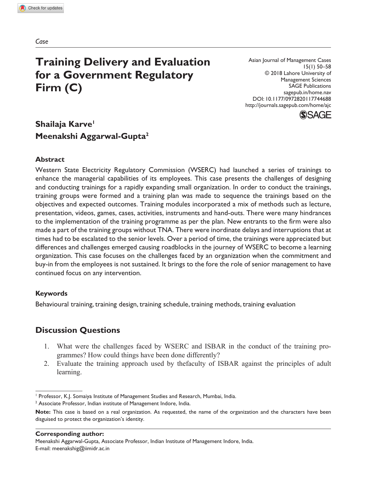# **Training Delivery and Evaluation for a Government Regulatory Firm (C)**

Asian Journal of Management Cases 15(1) 50–58 © 2018 Lahore University of Management Sciences SAGE Publications sagepub.in/home.nav DOI: 10.1177/0972820117744688 http://journals.sagepub.com/home/ajc



## **Shailaja Karve1 Meenakshi Aggarwal-Gupta2**

#### **Abstract**

Western State Electricity Regulatory Commission (WSERC) had launched a series of trainings to enhance the managerial capabilities of its employees. This case presents the challenges of designing and conducting trainings for a rapidly expanding small organization. In order to conduct the trainings, training groups were formed and a training plan was made to sequence the trainings based on the objectives and expected outcomes. Training modules incorporated a mix of methods such as lecture, presentation, videos, games, cases, activities, instruments and hand-outs. There were many hindrances to the implementation of the training programme as per the plan. New entrants to the firm were also made a part of the training groups without TNA. There were inordinate delays and interruptions that at times had to be escalated to the senior levels. Over a period of time, the trainings were appreciated but differences and challenges emerged causing roadblocks in the journey of WSERC to become a learning organization. This case focuses on the challenges faced by an organization when the commitment and buy-in from the employees is not sustained. It brings to the fore the role of senior management to have continued focus on any intervention.

#### **Keywords**

Behavioural training, training design, training schedule, training methods, training evaluation

## **Discussion Questions**

- 1. What were the challenges faced by WSERC and ISBAR in the conduct of the training programmes? How could things have been done differently?
- 2. Evaluate the training approach used by thefaculty of ISBAR against the principles of adult learning.

#### **Corresponding author:**

Meenakshi Aggarwal-Gupta, Associate Professor, Indian Institute of Management Indore, India. E-mail: meenakshig@iimidr.ac.in

<sup>&</sup>lt;sup>1</sup> Professor, K.J. Somaiya Institute of Management Studies and Research, Mumbai, India.

<sup>&</sup>lt;sup>2</sup> Associate Professor, Indian institute of Management Indore, India.

**Note:** This case is based on a real organization. As requested, the name of the organization and the characters have been disguised to protect the organization's identity.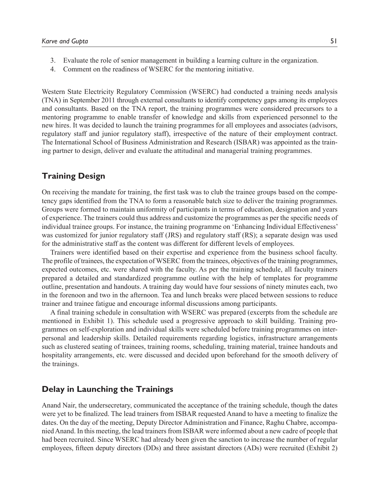- 3. Evaluate the role of senior management in building a learning culture in the organization.
- 4. Comment on the readiness of WSERC for the mentoring initiative.

Western State Electricity Regulatory Commission (WSERC) had conducted a training needs analysis (TNA) in September 2011 through external consultants to identify competency gaps among its employees and consultants. Based on the TNA report, the training programmes were considered precursors to a mentoring programme to enable transfer of knowledge and skills from experienced personnel to the new hires. It was decided to launch the training programmes for all employees and associates (advisors, regulatory staff and junior regulatory staff), irrespective of the nature of their employment contract. The International School of Business Administration and Research (ISBAR) was appointed as the training partner to design, deliver and evaluate the attitudinal and managerial training programmes.

## **Training Design**

On receiving the mandate for training, the first task was to club the trainee groups based on the competency gaps identified from the TNA to form a reasonable batch size to deliver the training programmes. Groups were formed to maintain uniformity of participants in terms of education, designation and years of experience. The trainers could thus address and customize the programmes as per the specific needs of individual trainee groups. For instance, the training programme on 'Enhancing Individual Effectiveness' was customized for junior regulatory staff (JRS) and regulatory staff (RS); a separate design was used for the administrative staff as the content was different for different levels of employees.

Trainers were identified based on their expertise and experience from the business school faculty. The profile of trainees, the expectation of WSERC from the trainees, objectives of the training programmes, expected outcomes, etc. were shared with the faculty. As per the training schedule, all faculty trainers prepared a detailed and standardized programme outline with the help of templates for programme outline, presentation and handouts. A training day would have four sessions of ninety minutes each, two in the forenoon and two in the afternoon. Tea and lunch breaks were placed between sessions to reduce trainer and trainee fatigue and encourage informal discussions among participants.

A final training schedule in consultation with WSERC was prepared (excerpts from the schedule are mentioned in Exhibit 1). This schedule used a progressive approach to skill building. Training programmes on self-exploration and individual skills were scheduled before training programmes on interpersonal and leadership skills. Detailed requirements regarding logistics, infrastructure arrangements such as clustered seating of trainees, training rooms, scheduling, training material, trainee handouts and hospitality arrangements, etc. were discussed and decided upon beforehand for the smooth delivery of the trainings.

## **Delay in Launching the Trainings**

Anand Nair, the undersecretary, communicated the acceptance of the training schedule, though the dates were yet to be finalized. The lead trainers from ISBAR requested Anand to have a meeting to finalize the dates. On the day of the meeting, Deputy Director Administration and Finance, Raghu Chabre, accompanied Anand. In this meeting, the lead trainers from ISBAR were informed about a new cadre of people that had been recruited. Since WSERC had already been given the sanction to increase the number of regular employees, fifteen deputy directors (DDs) and three assistant directors (ADs) were recruited (Exhibit 2)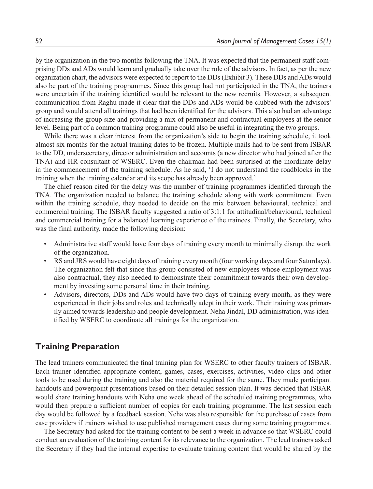by the organization in the two months following the TNA. It was expected that the permanent staff comprising DDs and ADs would learn and gradually take over the role of the advisors. In fact, as per the new organization chart, the advisors were expected to report to the DDs (Exhibit 3). These DDs and ADs would also be part of the training programmes. Since this group had not participated in the TNA, the trainers were uncertain if the training identified would be relevant to the new recruits. However, a subsequent communication from Raghu made it clear that the DDs and ADs would be clubbed with the advisors' group and would attend all trainings that had been identified for the advisors. This also had an advantage of increasing the group size and providing a mix of permanent and contractual employees at the senior level. Being part of a common training programme could also be useful in integrating the two groups.

While there was a clear interest from the organization's side to begin the training schedule, it took almost six months for the actual training dates to be frozen. Multiple mails had to be sent from ISBAR to the DD, undersecretary, director administration and accounts (a new director who had joined after the TNA) and HR consultant of WSERC. Even the chairman had been surprised at the inordinate delay in the commencement of the training schedule. As he said, 'I do not understand the roadblocks in the training when the training calendar and its scope has already been approved.'

The chief reason cited for the delay was the number of training programmes identified through the TNA. The organization needed to balance the training schedule along with work commitment. Even within the training schedule, they needed to decide on the mix between behavioural, technical and commercial training. The ISBAR faculty suggested a ratio of 3:1:1 for attitudinal/behavioural, technical and commercial training for a balanced learning experience of the trainees. Finally, the Secretary, who was the final authority, made the following decision:

- Administrative staff would have four days of training every month to minimally disrupt the work of the organization.
- RS and JRS would have eight days of training every month (four working days and four Saturdays). The organization felt that since this group consisted of new employees whose employment was also contractual, they also needed to demonstrate their commitment towards their own development by investing some personal time in their training.
- Advisors, directors, DDs and ADs would have two days of training every month, as they were experienced in their jobs and roles and technically adept in their work. Their training was primarily aimed towards leadership and people development. Neha Jindal, DD administration, was identified by WSERC to coordinate all trainings for the organization.

## **Training Preparation**

The lead trainers communicated the final training plan for WSERC to other faculty trainers of ISBAR. Each trainer identified appropriate content, games, cases, exercises, activities, video clips and other tools to be used during the training and also the material required for the same. They made participant handouts and powerpoint presentations based on their detailed session plan. It was decided that ISBAR would share training handouts with Neha one week ahead of the scheduled training programmes, who would then prepare a sufficient number of copies for each training programme. The last session each day would be followed by a feedback session. Neha was also responsible for the purchase of cases from case providers if trainers wished to use published management cases during some training programmes.

The Secretary had asked for the training content to be sent a week in advance so that WSERC could conduct an evaluation of the training content for its relevance to the organization. The lead trainers asked the Secretary if they had the internal expertise to evaluate training content that would be shared by the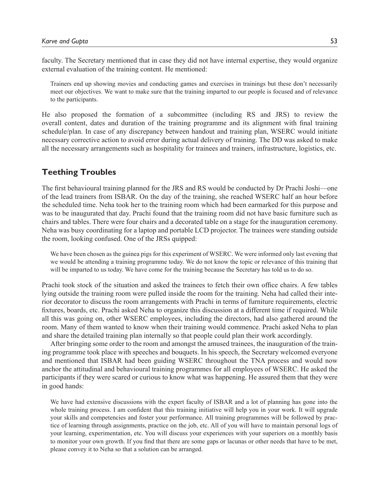faculty. The Secretary mentioned that in case they did not have internal expertise, they would organize external evaluation of the training content. He mentioned:

Trainers end up showing movies and conducting games and exercises in trainings but these don't necessarily meet our objectives. We want to make sure that the training imparted to our people is focused and of relevance to the participants.

He also proposed the formation of a subcommittee (including RS and JRS) to review the overall content, dates and duration of the training programme and its alignment with final training schedule/plan. In case of any discrepancy between handout and training plan, WSERC would initiate necessary corrective action to avoid error during actual delivery of training. The DD was asked to make all the necessary arrangements such as hospitality for trainees and trainers, infrastructure, logistics, etc.

#### **Teething Troubles**

The first behavioural training planned for the JRS and RS would be conducted by Dr Prachi Joshi—one of the lead trainers from ISBAR. On the day of the training, she reached WSERC half an hour before the scheduled time. Neha took her to the training room which had been earmarked for this purpose and was to be inaugurated that day. Prachi found that the training room did not have basic furniture such as chairs and tables. There were four chairs and a decorated table on a stage for the inauguration ceremony. Neha was busy coordinating for a laptop and portable LCD projector. The trainees were standing outside the room, looking confused. One of the JRSs quipped:

We have been chosen as the guinea pigs for this experiment of WSERC. We were informed only last evening that we would be attending a training programme today. We do not know the topic or relevance of this training that will be imparted to us today. We have come for the training because the Secretary has told us to do so.

Prachi took stock of the situation and asked the trainees to fetch their own office chairs. A few tables lying outside the training room were pulled inside the room for the training. Neha had called their interior decorator to discuss the room arrangements with Prachi in terms of furniture requirements, electric fixtures, boards, etc. Prachi asked Neha to organize this discussion at a different time if required. While all this was going on, other WSERC employees, including the directors, had also gathered around the room. Many of them wanted to know when their training would commence. Prachi asked Neha to plan and share the detailed training plan internally so that people could plan their work accordingly.

After bringing some order to the room and amongst the amused trainees, the inauguration of the training programme took place with speeches and bouquets. In his speech, the Secretary welcomed everyone and mentioned that ISBAR had been guiding WSERC throughout the TNA process and would now anchor the attitudinal and behavioural training programmes for all employees of WSERC. He asked the participants if they were scared or curious to know what was happening. He assured them that they were in good hands:

We have had extensive discussions with the expert faculty of ISBAR and a lot of planning has gone into the whole training process. I am confident that this training initiative will help you in your work. It will upgrade your skills and competencies and foster your performance. All training programmes will be followed by practice of learning through assignments, practice on the job, etc. All of you will have to maintain personal logs of your learning, experimentation, etc. You will discuss your experiences with your superiors on a monthly basis to monitor your own growth. If you find that there are some gaps or lacunas or other needs that have to be met, please convey it to Neha so that a solution can be arranged.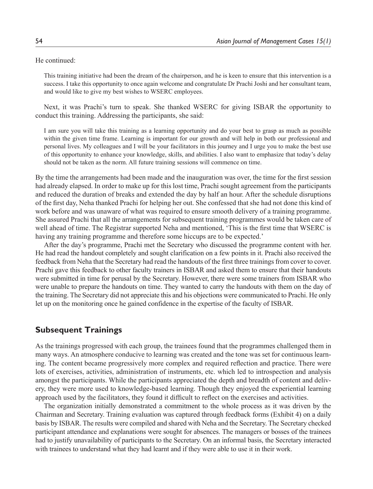He continued:

This training initiative had been the dream of the chairperson, and he is keen to ensure that this intervention is a success. I take this opportunity to once again welcome and congratulate Dr Prachi Joshi and her consultant team, and would like to give my best wishes to WSERC employees.

Next, it was Prachi's turn to speak. She thanked WSERC for giving ISBAR the opportunity to conduct this training. Addressing the participants, she said:

I am sure you will take this training as a learning opportunity and do your best to grasp as much as possible within the given time frame. Learning is important for our growth and will help in both our professional and personal lives. My colleagues and I will be your facilitators in this journey and I urge you to make the best use of this opportunity to enhance your knowledge, skills, and abilities. I also want to emphasize that today's delay should not be taken as the norm. All future training sessions will commence on time.

By the time the arrangements had been made and the inauguration was over, the time for the first session had already elapsed. In order to make up for this lost time, Prachi sought agreement from the participants and reduced the duration of breaks and extended the day by half an hour. After the schedule disruptions of the first day, Neha thanked Prachi for helping her out. She confessed that she had not done this kind of work before and was unaware of what was required to ensure smooth delivery of a training programme. She assured Prachi that all the arrangements for subsequent training programmes would be taken care of well ahead of time. The Registrar supported Neha and mentioned, 'This is the first time that WSERC is having any training programme and therefore some hiccups are to be expected.'

After the day's programme, Prachi met the Secretary who discussed the programme content with her. He had read the handout completely and sought clarification on a few points in it. Prachi also received the feedback from Neha that the Secretary had read the handouts of the first three trainings from cover to cover. Prachi gave this feedback to other faculty trainers in ISBAR and asked them to ensure that their handouts were submitted in time for perusal by the Secretary. However, there were some trainers from ISBAR who were unable to prepare the handouts on time. They wanted to carry the handouts with them on the day of the training. The Secretary did not appreciate this and his objections were communicated to Prachi. He only let up on the monitoring once he gained confidence in the expertise of the faculty of ISBAR.

#### **Subsequent Trainings**

As the trainings progressed with each group, the trainees found that the programmes challenged them in many ways. An atmosphere conducive to learning was created and the tone was set for continuous learning. The content became progressively more complex and required reflection and practice. There were lots of exercises, activities, administration of instruments, etc. which led to introspection and analysis amongst the participants. While the participants appreciated the depth and breadth of content and delivery, they were more used to knowledge-based learning. Though they enjoyed the experiential learning approach used by the facilitators, they found it difficult to reflect on the exercises and activities.

The organization initially demonstrated a commitment to the whole process as it was driven by the Chairman and Secretary. Training evaluation was captured through feedback forms (Exhibit 4) on a daily basis by ISBAR. The results were compiled and shared with Neha and the Secretary. The Secretary checked participant attendance and explanations were sought for absences. The managers or bosses of the trainees had to justify unavailability of participants to the Secretary. On an informal basis, the Secretary interacted with trainees to understand what they had learnt and if they were able to use it in their work.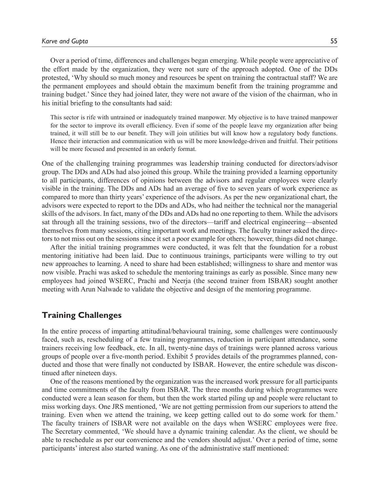Over a period of time, differences and challenges began emerging. While people were appreciative of the effort made by the organization, they were not sure of the approach adopted. One of the DDs protested, 'Why should so much money and resources be spent on training the contractual staff? We are the permanent employees and should obtain the maximum benefit from the training programme and training budget.' Since they had joined later, they were not aware of the vision of the chairman, who in his initial briefing to the consultants had said:

This sector is rife with untrained or inadequately trained manpower. My objective is to have trained manpower for the sector to improve its overall efficiency. Even if some of the people leave my organization after being trained, it will still be to our benefit. They will join utilities but will know how a regulatory body functions. Hence their interaction and communication with us will be more knowledge-driven and fruitful. Their petitions will be more focused and presented in an orderly format.

One of the challenging training programmes was leadership training conducted for directors/advisor group. The DDs and ADs had also joined this group. While the training provided a learning opportunity to all participants, differences of opinions between the advisors and regular employees were clearly visible in the training. The DDs and ADs had an average of five to seven years of work experience as compared to more than thirty years' experience of the advisors. As per the new organizational chart, the advisors were expected to report to the DDs and ADs, who had neither the technical nor the managerial skills of the advisors. In fact, many of the DDs and ADs had no one reporting to them. While the advisors sat through all the training sessions, two of the directors—tariff and electrical engineering—absented themselves from many sessions, citing important work and meetings. The faculty trainer asked the directors to not miss out on the sessions since it set a poor example for others; however, things did not change.

After the initial training programmes were conducted, it was felt that the foundation for a robust mentoring initiative had been laid. Due to continuous trainings, participants were willing to try out new approaches to learning. A need to share had been established; willingness to share and mentor was now visible. Prachi was asked to schedule the mentoring trainings as early as possible. Since many new employees had joined WSERC, Prachi and Neerja (the second trainer from ISBAR) sought another meeting with Arun Nalwade to validate the objective and design of the mentoring programme.

## **Training Challenges**

In the entire process of imparting attitudinal/behavioural training, some challenges were continuously faced, such as, rescheduling of a few training programmes, reduction in participant attendance, some trainers receiving low feedback, etc. In all, twenty-nine days of trainings were planned across various groups of people over a five-month period. Exhibit 5 provides details of the programmes planned, conducted and those that were finally not conducted by ISBAR. However, the entire schedule was discontinued after nineteen days.

One of the reasons mentioned by the organization was the increased work pressure for all participants and time commitments of the faculty from ISBAR. The three months during which programmes were conducted were a lean season for them, but then the work started piling up and people were reluctant to miss working days. One JRS mentioned, 'We are not getting permission from our superiors to attend the training. Even when we attend the training, we keep getting called out to do some work for them.' The faculty trainers of ISBAR were not available on the days when WSERC employees were free. The Secretary commented, 'We should have a dynamic training calendar. As the client, we should be able to reschedule as per our convenience and the vendors should adjust.' Over a period of time, some participants' interest also started waning. As one of the administrative staff mentioned: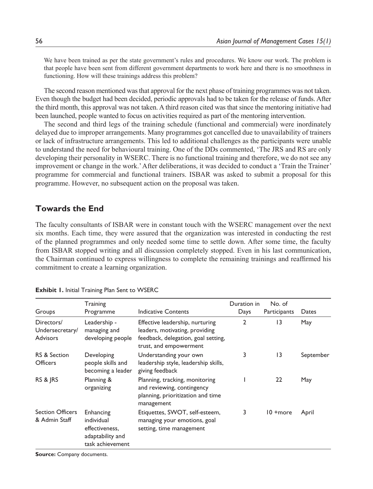We have been trained as per the state government's rules and procedures. We know our work. The problem is that people have been sent from different government departments to work here and there is no smoothness in functioning. How will these trainings address this problem?

The second reason mentioned was that approval for the next phase of training programmes was not taken. Even though the budget had been decided, periodic approvals had to be taken for the release of funds. After the third month, this approval was not taken. A third reason cited was that since the mentoring initiative had been launched, people wanted to focus on activities required as part of the mentoring intervention.

The second and third legs of the training schedule (functional and commercial) were inordinately delayed due to improper arrangements. Many programmes got cancelled due to unavailability of trainers or lack of infrastructure arrangements. This led to additional challenges as the participants were unable to understand the need for behavioural training. One of the DDs commented, 'The JRS and RS are only developing their personality in WSERC. There is no functional training and therefore, we do not see any improvement or change in the work.' After deliberations, it was decided to conduct a 'Train the Trainer' programme for commercial and functional trainers. ISBAR was asked to submit a proposal for this programme. However, no subsequent action on the proposal was taken.

#### **Towards the End**

The faculty consultants of ISBAR were in constant touch with the WSERC management over the next six months. Each time, they were assured that the organization was interested in conducting the rest of the planned programmes and only needed some time to settle down. After some time, the faculty from ISBAR stopped writing and all discussion completely stopped. Even in his last communication, the Chairman continued to express willingness to complete the remaining trainings and reaffirmed his commitment to create a learning organization.

| Groups                                           | Training<br>Programme                                                             | <b>Indicative Contents</b>                                                                                                         | Duration in<br>Days | No. of<br>Participants | Dates     |
|--------------------------------------------------|-----------------------------------------------------------------------------------|------------------------------------------------------------------------------------------------------------------------------------|---------------------|------------------------|-----------|
| Directors/<br>Undersecretary/<br><b>Advisors</b> | Leadership -<br>managing and<br>developing people                                 | Effective leadership, nurturing<br>leaders, motivating, providing<br>feedback, delegation, goal setting,<br>trust, and empowerment | $\overline{2}$      | 13                     | May       |
| <b>RS &amp; Section</b><br><b>Officers</b>       | Developing<br>people skills and<br>becoming a leader                              | Understanding your own<br>leadership style, leadership skills,<br>giving feedback                                                  | 3                   | 13                     | September |
| $RS &$ <sub>IRS</sub>                            | Planning &<br>organizing                                                          | Planning, tracking, monitoring<br>and reviewing, contingency<br>planning, prioritization and time<br>management                    |                     | 22                     | May       |
| <b>Section Officers</b><br>& Admin Staff         | Enhancing<br>individual<br>effectiveness.<br>adaptability and<br>task achievement | Etiquettes, SWOT, self-esteem,<br>managing your emotions, goal<br>setting, time management                                         | 3                   | 10 +more               | April     |

**Exhibit 1.** Initial Training Plan Sent to WSERC

**Source:** Company documents.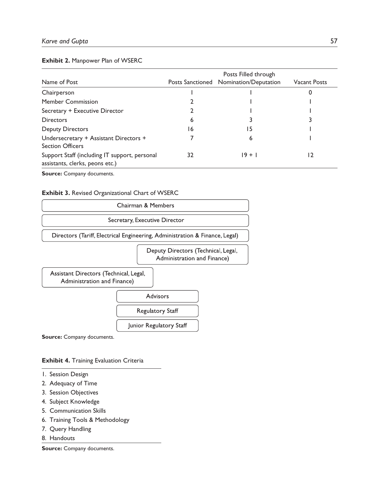#### **Exhibit 2.** Manpower Plan of WSERC

| Name of Post                                                                     |    | Posts Filled through<br>Posts Sanctioned Nomination/Deputation | <b>Vacant Posts</b> |
|----------------------------------------------------------------------------------|----|----------------------------------------------------------------|---------------------|
| Chairperson                                                                      |    |                                                                |                     |
| Member Commission                                                                |    |                                                                |                     |
| Secretary + Executive Director                                                   |    |                                                                |                     |
| <b>Directors</b>                                                                 | 6  |                                                                |                     |
| <b>Deputy Directors</b>                                                          | 16 | 15                                                             |                     |
| Undersecretary + Assistant Directors +<br><b>Section Officers</b>                |    | 6                                                              |                     |
| Support Staff (including IT support, personal<br>assistants, clerks, peons etc.) | 32 | $19 + 1$                                                       | 12                  |

**Source:** Company documents.

#### **Exhibit 3.** Revised Organizational Chart of WSERC



**Source:** Company documents.

**Exhibit 4.** Training Evaluation Criteria

- 1. Session Design
- 2. Adequacy of Time
- 3. Session Objectives
- 4. Subject Knowledge
- 5. Communication Skills
- 6. Training Tools & Methodology
- 7. Query Handling
- 8. Handouts

**Source:** Company documents.